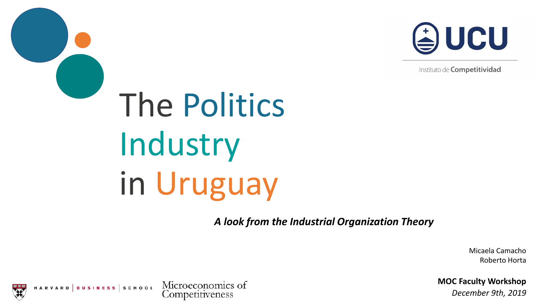

Instituto de Competitividad

# The Politics Industry in Uruguay

*A look from the Industrial Organization Theory*

Micaela Camacho Roberto Horta

**MOC Faculty Workshop**

*December 9th, 2019*

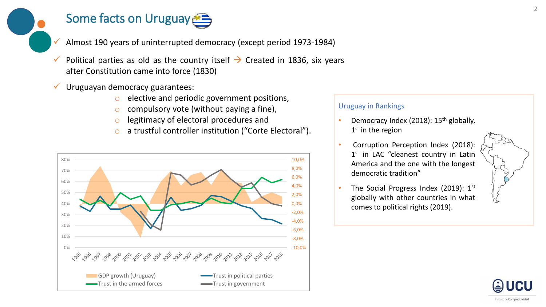## Some facts on Uruguay

- ✓ Almost 190 years of uninterrupted democracy (except period 1973-1984)
- Political parties as old as the country itself  $\rightarrow$  Created in 1836, six years after Constitution came into force (1830)
- Uruguayan democracy guarantees:
	- o elective and periodic government positions,
	- $\circ$  compulsory vote (without paying a fine),
	- legitimacy of electoral procedures and
	- o a trustful controller institution ("Corte Electoral").



#### Uruguay in Rankings

- Democracy Index (2018): 15th globally, 1<sup>st</sup> in the region
- Corruption Perception Index (2018): 1<sup>st</sup> in LAC "cleanest country in Latin America and the one with the longest democratic tradition"
- The Social Progress Index (2019): 1st globally with other countries in what comes to political rights (2019).





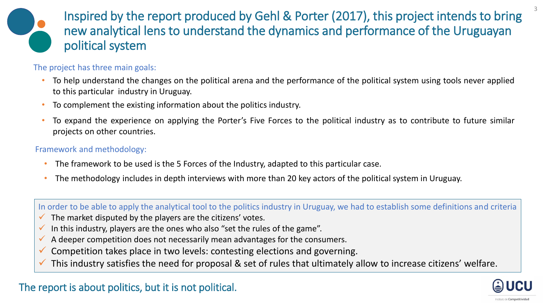

Inspired by the report produced by Gehl & Porter (2017), this project intends to bring new analytical lens to understand the dynamics and performance of the Uruguayan political system

### The project has three main goals:

- To help understand the changes on the political arena and the performance of the political system using tools never applied to this particular industry in Uruguay.
- To complement the existing information about the politics industry.
- To expand the experience on applying the Porter's Five Forces to the political industry as to contribute to future similar projects on other countries.

#### Framework and methodology:

- The framework to be used is the 5 Forces of the Industry, adapted to this particular case.
- The methodology includes in depth interviews with more than 20 key actors of the political system in Uruguay.

In order to be able to apply the analytical tool to the politics industry in Uruguay, we had to establish some definitions and criteria

- $\checkmark$  The market disputed by the players are the citizens' votes.
- $\checkmark$  In this industry, players are the ones who also "set the rules of the game".
- $\checkmark$  A deeper competition does not necessarily mean advantages for the consumers.
- $\checkmark$  Competition takes place in two levels: contesting elections and governing.
- $\checkmark$  This industry satisfies the need for proposal & set of rules that ultimately allow to increase citizens' welfare.



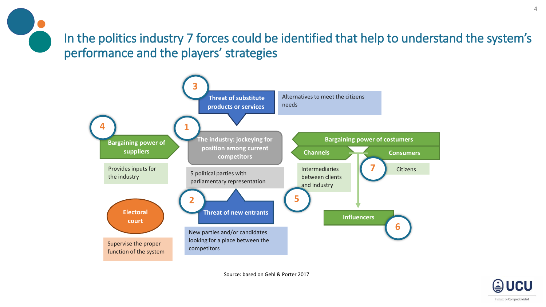



Source: based on Gehl & Porter 2017

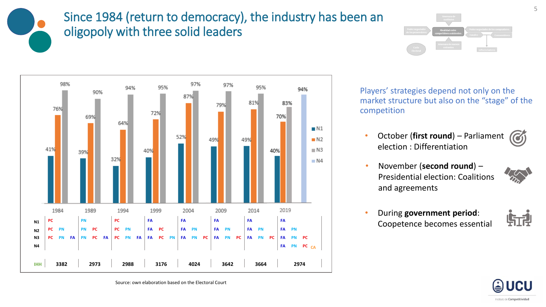### Since 1984 (return to democracy), the industry has been an oligopoly with three solid leaders





Players' strategies depend not only on the market structure but also on the "stage" of the competition

- **October (first round)** Parliament (6) election : Differentiation
- November (**second round**) Presidential election: Coalitions and agreements



• During **government period**: Coopetence becomes essential





Source: own elaboration based on the Electoral Court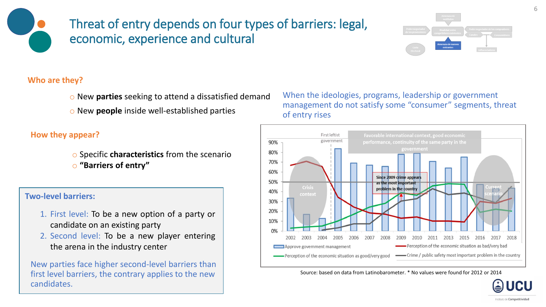### Threat of entry depends on four types of barriers: legal, economic, experience and cultural



#### **Who are they?**

o New **parties** seeking to attend a dissatisfied demand

o New **people** inside well-established parties

**How they appear?**

o Specific **characteristics** from the scenario o **"Barriers of entry"**

#### **Two-level barriers:**

- 1. First level: To be a new option of a party or candidate on an existing party
- 2. Second level: To be a new player entering the arena in the industry center

New parties face higher second-level barriers than first level barriers, the contrary applies to the new candidates.

#### When the ideologies, programs, leadership or government management do not satisfy some "consumer" segments, threat of entry rises



Source: based on data from Latinobarometer. \* No values were found for 2012 or 2014

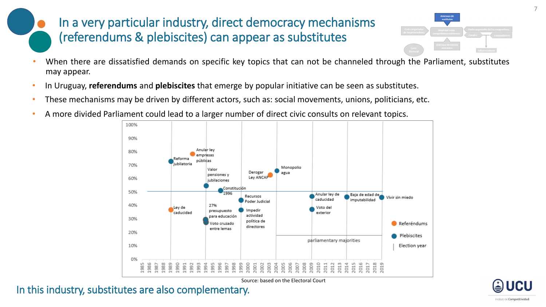### In a very particular industry, direct democracy mechanisms (referendums & plebiscites) can appear as substitutes



- When there are dissatisfied demands on specific key topics that can not be channeled through the Parliament, substitutes may appear.
- In Uruguay, **referendums** and **plebiscites** that emerge by popular initiative can be seen as substitutes.
- These mechanisms may be driven by different actors, such as: social movements, unions, politicians, etc.
- A more divided Parliament could lead to a larger number of direct civic consults on relevant topics.



In this industry, substitutes are also complementary.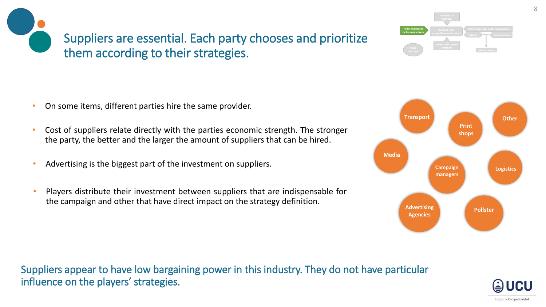Suppliers are essential. Each party chooses and prioritize them according to their strategies.

- On some items, different parties hire the same provider.
- Cost of suppliers relate directly with the parties economic strength. The stronger the party, the better and the larger the amount of suppliers that can be hired.
- Advertising is the biggest part of the investment on suppliers.
- Players distribute their investment between suppliers that are indispensable for the campaign and other that have direct impact on the strategy definition.

Suppliers appear to have low bargaining power in this industry. They do not have particular influence on the players' strategies.

#### 8





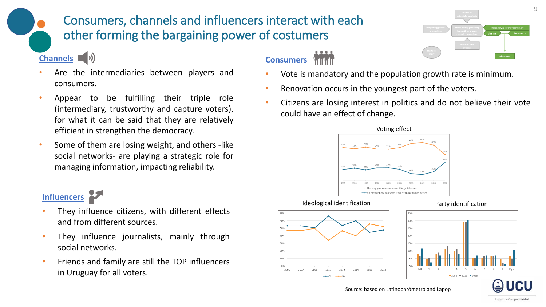### Consumers, channels and influencers interact with each other forming the bargaining power of costumers

### **Channels** (1)

- Are the intermediaries between players and consumers.
- Appear to be fulfilling their triple role (intermediary, trustworthy and capture voters), for what it can be said that they are relatively efficient in strengthen the democracy.
- Some of them are losing weight, and others -like social networks- are playing a strategic role for managing information, impacting reliability.

### **Influencers**

- 
- They influence citizens, with different effects and from different sources.
- They influence journalists, mainly through social networks.
- Friends and family are still the TOP influencers in Uruguay for all voters.

### **Consumers**

- Vote is mandatory and the population growth rate is minimum.
- Renovation occurs in the youngest part of the voters.
- Citizens are losing interest in politics and do not believe their vote could have an effect of change.



#### Ideological identification example and party identification





 $2006$   $\blacksquare$  2011  $\blacksquare$  2018



20%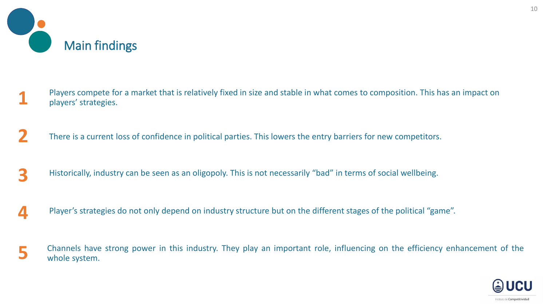

- **1** Players compete for a market that is relatively fixed in size and stable in what comes to composition. This has an impact on players' strategies.
- There is a current loss of confidence in political parties. This lowers the entry barriers for new competitors. **2**
- Historically, industry can be seen as an oligopoly. This is not necessarily "bad" in terms of social wellbeing. **3**
- Player's strategies do not only depend on industry structure but on the different stages of the political "game". **4**
- Channels have strong power in this industry. They play an important role, influencing on the efficiency enhancement of the whole system. **5**

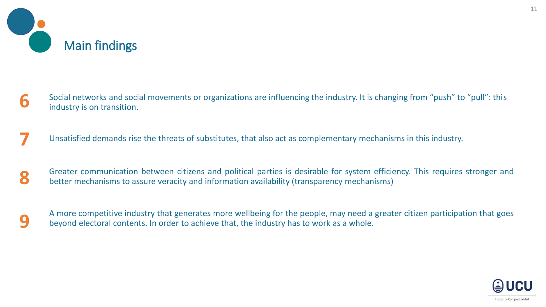

- Social networks and social movements or organizations are influencing the industry. It is changing from "push" to "pull": this industry is on transition. **6**
- Unsatisfied demands rise the threats of substitutes, that also act as complementary mechanisms in this industry. **7**
- Greater communication between citizens and political parties is desirable for system efficiency. This requires stronger and better mechanisms to assure veracity and information availability (transparency mechanisms) **8**
- A more competitive industry that generates more wellbeing for the people, may need a greater citizen participation that goes beyond electoral contents. In order to achieve that, the industry has to work as a whole. **9**